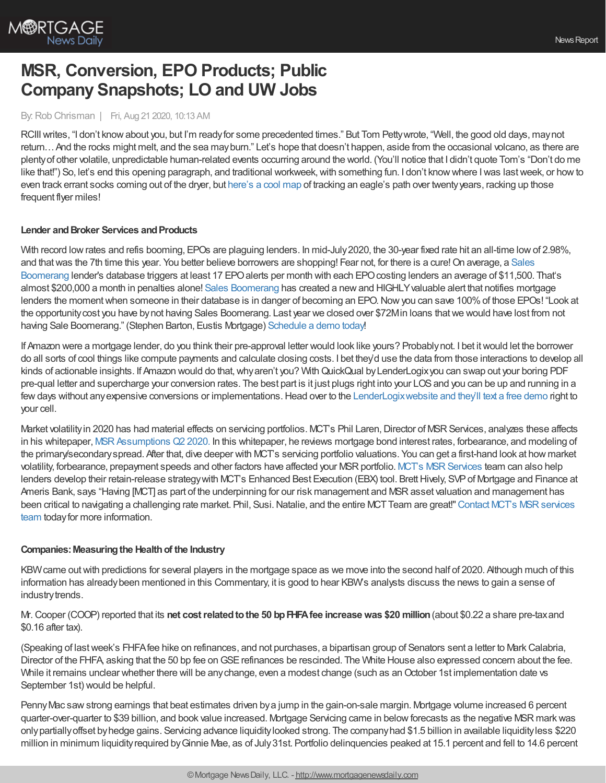

# **MSR, Conversion, EPO Products; Public Company Snapshots; LO and UW Jobs**

#### By:Rob Chrisman | Fri, Aug 21 2020, 10:13 AM

RCIIIwrites, "I don't knowabout you, but I'm readyfor some precedented times." But Tom Pettywrote, "Well, the good old days, maynot return…And the rocks might melt, and the sea mayburn." Let's hope that doesn't happen, aside from the occasional volcano, as there are plentyof other volatile, unpredictable human-related events occurring around the world. (You'll notice that I didn't quote Tom's "Don't do me like that!") So, let's end this opening paragraph, and traditional workweek, with something fun. I don't know where I was last week, or how to even track errant socks coming out of the dryer, but [here's](https://www.reddit.com/r/MapPorn/comments/avbaf7/tracking_of_an_eagle_over_a_20_year_period/) a cool map of tracking an eagle's path over twentyyears, racking up those frequent flyer miles!

#### **Lender and Broker Services and Products**

With record low rates and refis booming, EPOs are plaguing lenders. In mid-July 2020, the 30-year fixed rate hit an all-time low of 2.98%, and that was the 7th time this year. You better believe borrowers are shopping! Fear not, for there is a cure! On average, a Sales Boomerang lender's database triggers at least 17 EPO alerts per month with each EPO costing lenders an average of \$11,500. That's almost \$200,000 a month in penalties alone! Sales [Boomerang](https://hubs.ly/H0sx4pt0) has created a new and HIGHLY valuable alert that notifies mortgage lenders the moment when someone in their database is in danger of becoming an EPO. Now you can save 100% of those EPOs! "Look at the opportunitycost you have bynot having Sales Boomerang. Last year we closed over \$72Min loans thatwe would have lost from not having Sale Boomerang." (Stephen Barton, Eustis Mortgage) [Schedule](https://hubs.ly/H0tK_ZY0) a demo today!

If Amazon were a mortgage lender, do you think their pre-approval letter would look like yours? Probablynot. I bet itwould let the borrower do all sorts of cool things like compute payments and calculate closing costs. I bet they'd use the data from those interactions to develop all kinds of actionable insights. If Amazon would do that, why aren't you? With QuickQual by LenderLogix you can swap out your boring PDF pre-qual letter and supercharge your conversion rates. The best part is it just plugs right into your LOSand you can be up and running in a few days without any expensive conversions or implementations. Head over to the LenderLogix website and they'll text a free demo right to your cell.

Market volatility in 2020 has had material effects on servicing portfolios. MCT's Phil Laren, Director of MSR Services, analyzes these affects in his whitepaper, MSR Assumptions Q2 2020. In this whitepaper, he reviews mortgage bond interest rates, forbearance, and modeling of the primary/secondaryspread. After that, dive deeper with MCT's servicing portfolio valuations. You can get a first-hand look at how market volatility, forbearance, prepayment speeds and other factors have affected your MSR portfolio. MCT's MSR Services team can also help lenders develop their retain-release strategy with MCT's Enhanced Best Execution (EBX) tool. Brett Hively, SVP of Mortgage and Finance at Ameris Bank, says "Having [MCT] as part of the underpinning for our risk management and MSR asset valuation and management has been critical to navigating a challenging rate market. Phil, Susi. Natalie, and the entire MCT Team are great!" Contact MCT's MSR services team today for more information.

#### **Companies: Measuring the Health of the Industry**

KBWcame outwith predictions for several players in the mortgage space as we move into the second half of 2020. Although much of this information has alreadybeen mentioned in this Commentary, it is good to hear KBW's analysts discuss the news to gain a sense of industry trends.

### Mr.Cooper (COOP) reported that its **net costrelatedtothe 50 bpFHFAfee increasewas \$20 million**(about \$0.22 a share pre-taxand \$0.16 after tax).

(Speaking of lastweek's FHFAfee hike on refinances, and not purchases, a bipartisan group of Senators sent a letter to MarkCalabria, Director of the FHFA, asking that the 50 bp fee on GSE refinances be rescinded. The White House also expressed concern about the fee. While it remains unclear whether there will be any change, even a modest change (such as an October 1st implementation date vs September 1st) would be helpful.

PennyMac sawstrong earnings that beat estimates driven bya jump in the gain-on-sale margin. Mortgage volume increased 6 percent quarter-over-quarter to \$39 billion, and book value increased. Mortgage Servicing came in below forecasts as the negative MSR mark was onlypartiallyoffset byhedge gains. Servicing advance liquiditylooked strong. The companyhad \$1.5 billion in available liquidityless \$220 million in minimum liquidityrequired byGinnie Mae, as of July31st. Portfolio delinquencies peaked at 15.1 percent and fell to 14.6 percent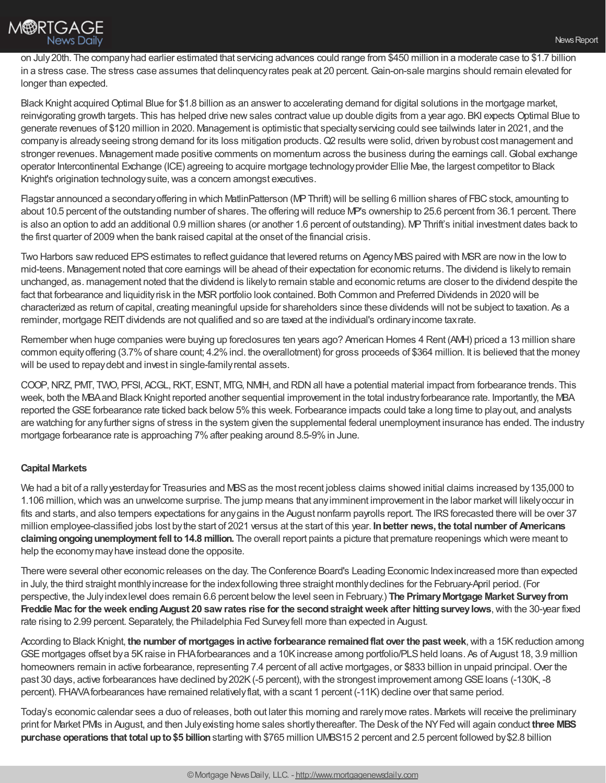on July20th. The companyhad earlier estimated that servicing advances could range from \$450 million in a moderate case to \$1.7 billion in a stress case. The stress case assumes that delinquencyrates peak at 20 percent.Gain-on-sale margins should remain elevated for longer than expected.

Black Knight acquired Optimal Blue for \$1.8 billion as an answer to accelerating demand for digital solutions in the mortgage market, reinvigorating growth targets. This has helped drive newsales contract value up double digits from a year ago. BKI expects Optimal Blue to generate revenues of \$120 million in 2020. Management is optimistic that specialtyservicing could see tailwinds later in 2021, and the companyis alreadyseeing strong demand for its loss mitigation products.Q2 results were solid, driven byrobust cost management and stronger revenues. Management made positive comments on momentum across the business during the earnings call. Global exchange operator Intercontinental Exchange (ICE) agreeing to acquire mortgage technologyprovider Ellie Mae, the largest competitor to Black Knight's origination technology suite, was a concern amongst executives.

Flagstar announced a secondary offering in which MatlinPatterson (MP Thrift) will be selling 6 million shares of FBC stock, amounting to about 10.5 percent of the outstanding number of shares. The offering will reduce MP's ownership to 25.6 percent from 36.1 percent. There is also an option to add an additional 0.9 million shares (or another 1.6 percent of outstanding). MPThrift's initial investment dates back to the first quarter of 2009 when the bank raised capital at the onset of the financial crisis.

Two Harbors saw reduced EPS estimates to reflect guidance that levered returns on Agency MBS paired with MSR are now in the low to mid-teens. Management noted that core earnings will be ahead of their expectation for economic returns. The dividend is likelyto remain unchanged, as. management noted that the dividend is likelyto remain stable and economic returns are closer to the dividend despite the fact that forbearance and liquidity risk in the MSR portfolio look contained. Both Common and Preferred Dividends in 2020 will be characterized as return of capital, creating meaningful upside for shareholders since these dividends will not be subject to taxation. As a reminder, mortgage REIT dividends are not qualified and so are taxed at the individual's ordinary income taxrate.

Remember when huge companies were buying up foreclosures ten years ago? American Homes 4 Rent (AMH) priced a 13 million share common equityoffering (3.7%of share count; 4.2%incl. the overallotment) for gross proceeds of \$364 million. It is believed that the money will be used to repay debt and invest in single-family rental assets.

COOP, NRZ, PMT, TWO, PFSI, ACGL, RKT, ESNT, MTG, NMIH, and RDN all have a potential material impact from forbearance trends. This week, both the MBAand Black Knight reported another sequential improvement in the total industryforbearance rate. Importantly, the MBA reported the GSE forbearance rate ticked back below 5% this week. Forbearance impacts could take a long time to playout, and analysts are watching for anyfurther signs of stress in the system given the supplemental federal unemployment insurance has ended. The industry mortgage forbearance rate is approaching 7% after peaking around 8.5-9% in June.

## **Capital Markets**

We had a bit of a rally yesterday for Treasuries and MBS as the most recent jobless claims showed initial claims increased by 135,000 to 1.106 million,which was an unwelcome surprise. The jump means that anyimminent improvement in the labor marketwill likelyoccur in fits and starts, and also tempers expectations for anygains in the August nonfarm payrolls report. The IRSforecasted there will be over 37 million employee-classified jobs lost bythe start of 2021 versus at the start of this year. **Inbetter news, the total number of Americans claimingongoingunemployment fell to14.8 million.** The overall report paints a picture that premature reopenings which were meant to help the economymayhave instead done the opposite.

There were several other economic releases on the day. The Conference Board's Leading Economic Indexincreased more than expected in July, the third straight monthlyincrease for the indexfollowing three straight monthlydeclines for the February-April period. (For perspective, the Julyindexlevel does remain 6.6 percent belowthe level seen in February.) **The PrimaryMortgage Market Surveyfrom** Freddie Mac for the week ending August 20 saw rates rise for the second straight week after hitting survey lows, with the 30-year fixed rate rising to 2.99 percent. Separately, the Philadelphia Fed Surveyfell more than expected in August.

According to Black Knight, **the number of mortgages inactive forbearance remainedflat over the pastweek**,with a 15Kreduction among GSEmortgages offset bya 5Kraise in FHAforbearances and a 10Kincrease among portfolio/PLSheld loans. As of August 18, 3.9 million homeowners remain in active forbearance, representing 7.4 percent of all active mortgages, or \$833 billion in unpaid principal. Over the past 30 days, active forbearances have declined by 202K (-5 percent), with the strongest improvement among GSE loans (-130K, -8 percent). FHA/VA forbearances have remained relatively flat, with a scant 1 percent (-11K) decline over that same period.

Today's economic calendar sees a duo of releases, both out later this morning and rarelymove rates. Markets will receive the preliminary print for Market PMIs in August, and then Julyexisting home sales shortlythereafter. The Desk of the NYFed will again conduct **three MBS purchase operations that total upto\$5 billion**starting with \$765 million UMBS15 2 percent and 2.5 percent followed by\$2.8 billion